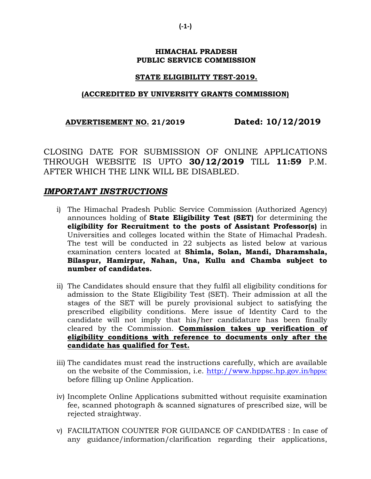## **HIMACHAL PRADESH PUBLIC SERVICE COMMISSION**

## **STATE ELIGIBILITY TEST-2019.**

## **(ACCREDITED BY UNIVERSITY GRANTS COMMISSION)**

## **ADVERTISEMENT NO. 21/2019 Dated: 10/12/2019**

CLOSING DATE FOR SUBMISSION OF ONLINE APPLICATIONS THROUGH WEBSITE IS UPTO **30/12/2019** TILL **11:59** P.M. AFTER WHICH THE LINK WILL BE DISABLED.

# *IMPORTANT INSTRUCTIONS*

- i) The Himachal Pradesh Public Service Commission (Authorized Agency) announces holding of **State Eligibility Test (SET)** for determining the **eligibility for Recruitment to the posts of Assistant Professor(s)** in Universities and colleges located within the State of Himachal Pradesh. The test will be conducted in 22 subjects as listed below at various examination centers located at **Shimla, Solan, Mandi, Dharamshala, Bilaspur, Hamirpur, Nahan, Una, Kullu and Chamba subject to number of candidates.**
- ii) The Candidates should ensure that they fulfil all eligibility conditions for admission to the State Eligibility Test (SET). Their admission at all the stages of the SET will be purely provisional subject to satisfying the prescribed eligibility conditions. Mere issue of Identity Card to the candidate will not imply that his/her candidature has been finally cleared by the Commission. **Commission takes up verification of eligibility conditions with reference to documents only after the candidate has qualified for Test.**
- iii) The candidates must read the instructions carefully, which are available on the website of the Commission, i.e. [http://www.hppsc.hp.gov.in](http://www.hppsc.hp.gov.in/hppsc)/hppsc before filling up Online Application.
- iv) Incomplete Online Applications submitted without requisite examination fee, scanned photograph & scanned signatures of prescribed size, will be rejected straightway.
- v) FACILITATION COUNTER FOR GUIDANCE OF CANDIDATES : In case of any guidance/information/clarification regarding their applications,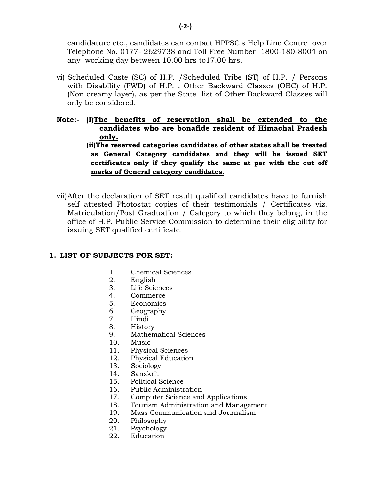candidature etc., candidates can contact HPPSC's Help Line Centre over Telephone No. 0177- 2629738 and Toll Free Number 1800-180-8004 on any working day between 10.00 hrs to17.00 hrs.

vi) Scheduled Caste (SC) of H.P. /Scheduled Tribe (ST) of H.P. / Persons with Disability (PWD) of H.P. , Other Backward Classes (OBC) of H.P. (Non creamy layer), as per the State list of Other Backward Classes will only be considered.

**Note:- (i)The benefits of reservation shall be extended to the candidates who are bonafide resident of Himachal Pradesh only. (ii)The reserved categories candidates of other states shall be treated as General Category candidates and they will be issued SET certificates only if they qualify the same at par with the cut off marks of General category candidates.**

vii)After the declaration of SET result qualified candidates have to furnish self attested Photostat copies of their testimonials / Certificates viz. Matriculation/Post Graduation / Category to which they belong, in the office of H.P. Public Service Commission to determine their eligibility for issuing SET qualified certificate.

#### **1. LIST OF SUBJECTS FOR SET:**

- 1. Chemical Sciences
- 2. English
- 3. Life Sciences
- 4. Commerce
- 5. Economics
- 6. Geography
- 7. Hindi
- 8. History
- 9. Mathematical Sciences
- 10. Music
- 11. Physical Sciences
- 12. Physical Education
- 13. Sociology
- 14. Sanskrit
- 15. Political Science
- 16. Public Administration
- 17. Computer Science and Applications
- 18. Tourism Administration and Management
- 19. Mass Communication and Journalism
- 20. Philosophy
- 21. Psychology
- 22. Education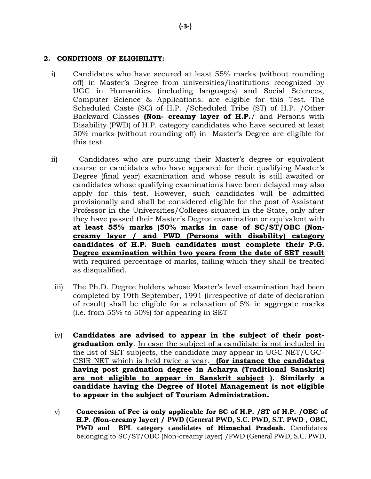## **2. CONDITIONS OF ELIGIBILITY:**

- i) Candidates who have secured at least 55% marks (without rounding off) in Master's Degree from universities/institutions recognized by UGC in Humanities (including languages) and Social Sciences, Computer Science & Applications. are eligible for this Test. The Scheduled Caste (SC) of H.P. /Scheduled Tribe (ST) of H.P. /Other Backward Classes **(Non- creamy layer of H.P.**/ and Persons with Disability (PWD) of H.P. category candidates who have secured at least 50% marks (without rounding off) in Master's Degree are eligible for this test.
- ii) Candidates who are pursuing their Master's degree or equivalent course or candidates who have appeared for their qualifying Master's Degree (final year) examination and whose result is still awaited or candidates whose qualifying examinations have been delayed may also apply for this test. However, such candidates will be admitted provisionally and shall be considered eligible for the post of Assistant Professor in the Universities/Colleges situated in the State, only after they have passed their Master's Degree examination or equivalent with **at least 55% marks (50% marks in case of SC/ST/OBC (Noncreamy layer / and PWD (Persons with disability) category candidates of H.P. Such candidates must complete their P.G. Degree examination within two years from the date of SET result** with required percentage of marks, failing which they shall be treated as disqualified.
- iii) The Ph.D. Degree holders whose Master's level examination had been completed by 19th September, 1991 (irrespective of date of declaration of result) shall be eligible for a relaxation of 5% in aggregate marks (i.e. from 55% to 50%) for appearing in SET
- iv) **Candidates are advised to appear in the subject of their postgraduation only**. In case the subject of a candidate is not included in the list of SET subjects, the candidate may appear in UGC NET/UGC-CSIR NET which is held twice a year. **(for instance the candidates having post graduation degree in Acharya (Traditional Sanskrit) are not eligible to appear in Sanskrit subject ). Similarly a candidate having the Degree of Hotel Management is not eligible to appear in the subject of Tourism Administration.**
- v) **Concession of Fee is only applicable for SC of H.P. /ST of H.P. /OBC of H.P. (Non-creamy layer) / PWD (General PWD, S.C. PWD, S.T. PWD , OBC, PWD and BPL category candidates of Himachal Pradesh.** Candidates belonging to SC/ST/OBC (Non-creamy layer) /PWD (General PWD, S.C. PWD,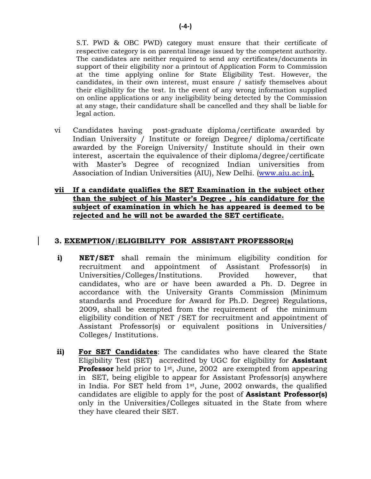S.T. PWD & OBC PWD) category must ensure that their certificate of respective category is on parental lineage issued by the competent authority. The candidates are neither required to send any certificates/documents in support of their eligibility nor a printout of Application Form to Commission at the time applying online for State Eligibility Test. However, the candidates, in their own interest, must ensure / satisfy themselves about their eligibility for the test. In the event of any wrong information supplied on online applications or any ineligibility being detected by the Commission at any stage, their candidature shall be cancelled and they shall be liable for legal action.

- vi Candidates having post-graduate diploma/certificate awarded by Indian University / Institute or foreign Degree/ diploma/certificate awarded by the Foreign University/ Institute should in their own interest, ascertain the equivalence of their diploma/degree/certificate with Master's Degree of recognized Indian universities from Association of Indian Universities (AIU), New Delhi. [\(www.aiu.ac.in](http://www.aiu.ac.in/)**).**
- **vii If a candidate qualifies the SET Examination in the subject other than the subject of his Master's Degree , his candidature for the subject of examination in which he has appeared is deemed to be rejected and he will not be awarded the SET certificate.**

## **3. EXEMPTION/(ELIGIBILITY FOR ASSISTANT PROFESSOR(s)**

- **i) NET/SET** shall remain the minimum eligibility condition for recruitment and appointment of Assistant Professor(s) in Universities/Colleges/Institutions. Provided however, that candidates, who are or have been awarded a Ph. D. Degree in accordance with the University Grants Commission (Minimum standards and Procedure for Award for Ph.D. Degree) Regulations, 2009, shall be exempted from the requirement of the minimum eligibility condition of NET /SET for recruitment and appointment of Assistant Professor(s) or equivalent positions in Universities/ Colleges/ Institutions.
- **ii) For SET Candidates**: The candidates who have cleared the State Eligibility Test (SET) accredited by UGC for eligibility for **Assistant Professor** held prior to 1<sup>st</sup>, June, 2002 are exempted from appearing in SET, being eligible to appear for Assistant Professor(s) anywhere in India. For SET held from 1st, June, 2002 onwards, the qualified candidates are eligible to apply for the post of **Assistant Professor(s)**  only in the Universities/Colleges situated in the State from where they have cleared their SET.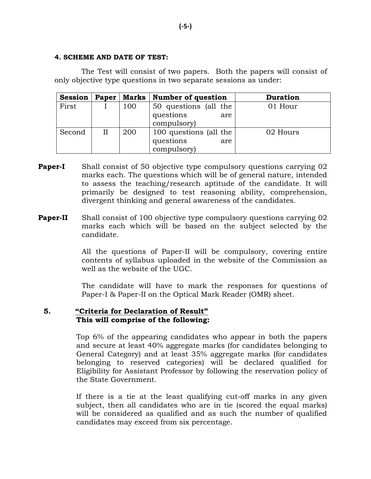#### **4. SCHEME AND DATE OF TEST:**

The Test will consist of two papers. Both the papers will consist of only objective type questions in two separate sessions as under:

| <b>Session</b> | Paper | Marks | <b>Number of question</b> | <b>Duration</b> |
|----------------|-------|-------|---------------------------|-----------------|
| First          |       | 100   | 50 questions (all the     | 01 Hour         |
|                |       |       | questions<br>are          |                 |
|                |       |       | compulsory)               |                 |
| Second         | II    | 200   | 100 questions (all the    | 02 Hours        |
|                |       |       | questions<br>are          |                 |
|                |       |       | compulsory)               |                 |

- **Paper-I** Shall consist of 50 objective type compulsory questions carrying 02 marks each. The questions which will be of general nature, intended to assess the teaching/research aptitude of the candidate. It will primarily be designed to test reasoning ability, comprehension, divergent thinking and general awareness of the candidates.
- **Paper-II** Shall consist of 100 objective type compulsory questions carrying 02 marks each which will be based on the subject selected by the candidate.

All the questions of Paper-II will be compulsory, covering entire contents of syllabus uploaded in the website of the Commission as well as the website of the UGC.

The candidate will have to mark the responses for questions of Paper-I & Paper-II on the Optical Mark Reader (OMR) sheet.

## **5. "Criteria for Declaration of Result" This will comprise of the following:**

Top 6% of the appearing candidates who appear in both the papers and secure at least 40% aggregate marks (for candidates belonging to General Category) and at least 35% aggregate marks (for candidates belonging to reserved categories) will be declared qualified for Eligibility for Assistant Professor by following the reservation policy of the State Government.

If there is a tie at the least qualifying cut-off marks in any given subject, then all candidates who are in tie (scored the equal marks) will be considered as qualified and as such the number of qualified candidates may exceed from six percentage.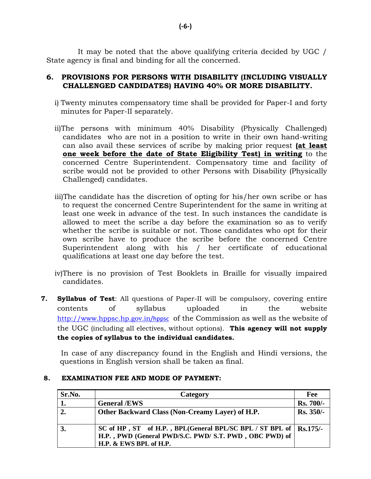It may be noted that the above qualifying criteria decided by UGC / State agency is final and binding for all the concerned.

## **6. PROVISIONS FOR PERSONS WITH DISABILITY (INCLUDING VISUALLY CHALLENGED CANDIDATES) HAVING 40% OR MORE DISABILITY.**

- i) Twenty minutes compensatory time shall be provided for Paper-I and forty minutes for Paper-II separately.
- ii)The persons with minimum 40% Disability (Physically Challenged) candidates who are not in a position to write in their own hand-writing can also avail these services of scribe by making prior request **(at least one week before the date of State Eligibility Test) in writing** to the concerned Centre Superintendent. Compensatory time and facility of scribe would not be provided to other Persons with Disability (Physically Challenged) candidates.
- iii)The candidate has the discretion of opting for his/her own scribe or has to request the concerned Centre Superintendent for the same in writing at least one week in advance of the test. In such instances the candidate is allowed to meet the scribe a day before the examination so as to verify whether the scribe is suitable or not. Those candidates who opt for their own scribe have to produce the scribe before the concerned Centre Superintendent along with his / her certificate of educational qualifications at least one day before the test.
- iv)There is no provision of Test Booklets in Braille for visually impaired candidates.
- **7. Syllabus of Test**: All questions of Paper-II will be compulsory, covering entire contents of syllabus uploaded in the website [http://www.hppsc.hp.gov.in](http://www.hppsc.hp.gov.in/hppsc)/hppsc of the Commission as well as the website of the UGC (including all electives, without options). **This agency will not supply the copies of syllabus to the individual candidates.**

In case of any discrepancy found in the English and Hindi versions, the questions in English version shall be taken as final.

## **8. EXAMINATION FEE AND MODE OF PAYMENT:**

| Sr.No. | Category                                                                                                                                                      | Fee       |
|--------|---------------------------------------------------------------------------------------------------------------------------------------------------------------|-----------|
|        | <b>General /EWS</b>                                                                                                                                           | Rs. 700/- |
| 2.     | Other Backward Class (Non-Creamy Layer) of H.P.                                                                                                               | Rs. 350/- |
|        | SC of HP, ST of H.P., BPL(General BPL/SC BPL / ST BPL of $\vert$ Rs.175/-<br>H.P., PWD (General PWD/S.C. PWD/ S.T. PWD, OBC PWD) of<br>H.P. & EWS BPL of H.P. |           |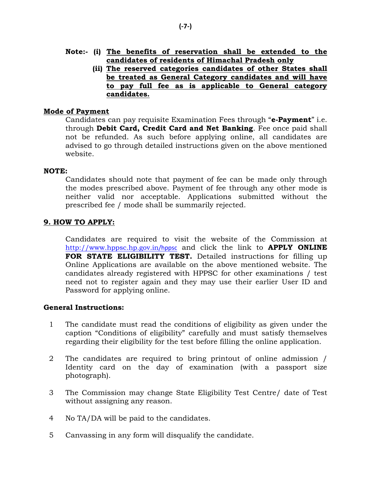**(ii) The reserved categories candidates of other States shall be treated as General Category candidates and will have to pay full fee as is applicable to General category candidates.**

## **Mode of Payment**

Candidates can pay requisite Examination Fees through "**e-Payment**" i.e. through **Debit Card, Credit Card and Net Banking**. Fee once paid shall not be refunded. As such before applying online, all candidates are advised to go through detailed instructions given on the above mentioned website.

## **NOTE:**

Candidates should note that payment of fee can be made only through the modes prescribed above. Payment of fee through any other mode is neither valid nor acceptable. Applications submitted without the prescribed fee / mode shall be summarily rejected.

## **9. HOW TO APPLY:**

Candidates are required to visit the website of the Commission at [http://www.hppsc.hp.gov.in](http://www.hppsc.hp.gov.in/hppsc)/hppsc and click the link to **APPLY ONLINE FOR STATE ELIGIBILITY TEST.** Detailed instructions for filling up Online Applications are available on the above mentioned website. The candidates already registered with HPPSC for other examinations / test need not to register again and they may use their earlier User ID and Password for applying online.

## **General Instructions:**

- 1 The candidate must read the conditions of eligibility as given under the caption "Conditions of eligibility" carefully and must satisfy themselves regarding their eligibility for the test before filling the online application.
- 2 The candidates are required to bring printout of online admission / Identity card on the day of examination (with a passport size photograph).
- 3 The Commission may change State Eligibility Test Centre/ date of Test without assigning any reason.
- 4 No TA/DA will be paid to the candidates.
- 5 Canvassing in any form will disqualify the candidate.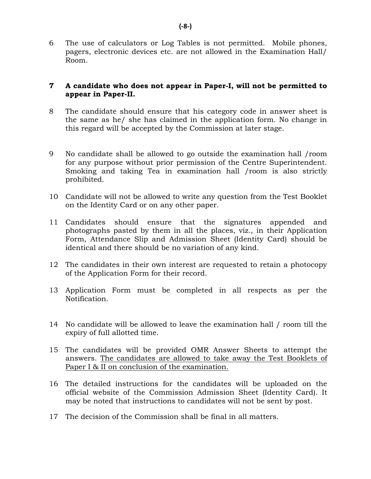6 The use of calculators or Log Tables is not permitted. Mobile phones, pagers, electronic devices etc. are not allowed in the Examination Hall/ Room.

## **7 A candidate who does not appear in Paper-I, will not be permitted to appear in Paper-II.**

- 8 The candidate should ensure that his category code in answer sheet is the same as he/ she has claimed in the application form. No change in this regard will be accepted by the Commission at later stage.
- 9 No candidate shall be allowed to go outside the examination hall /room for any purpose without prior permission of the Centre Superintendent. Smoking and taking Tea in examination hall /room is also strictly prohibited.
- 10 Candidate will not be allowed to write any question from the Test Booklet on the Identity Card or on any other paper.
- 11 Candidates should ensure that the signatures appended and photographs pasted by them in all the places, viz., in their Application Form, Attendance Slip and Admission Sheet (Identity Card) should be identical and there should be no variation of any kind.
- 12 The candidates in their own interest are requested to retain a photocopy of the Application Form for their record.
- 13 Application Form must be completed in all respects as per the Notification.
- 14 No candidate will be allowed to leave the examination hall / room till the expiry of full allotted time.
- 15 The candidates will be provided OMR Answer Sheets to attempt the answers. The candidates are allowed to take away the Test Booklets of Paper I & II on conclusion of the examination.
- 16 The detailed instructions for the candidates will be uploaded on the official website of the Commission Admission Sheet (Identity Card). It may be noted that instructions to candidates will not be sent by post.
- 17 The decision of the Commission shall be final in all matters.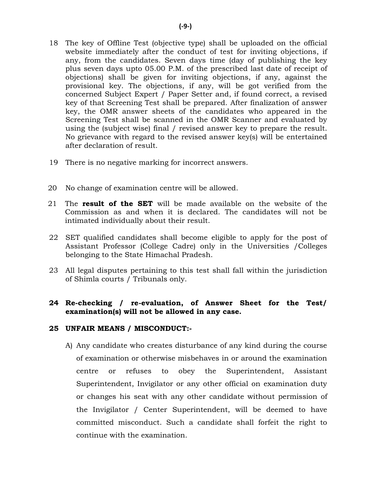- 18 The key of Offline Test (objective type) shall be uploaded on the official website immediately after the conduct of test for inviting objections, if any, from the candidates. Seven days time (day of publishing the key plus seven days upto 05.00 P.M. of the prescribed last date of receipt of objections) shall be given for inviting objections, if any, against the provisional key. The objections, if any, will be got verified from the concerned Subject Expert / Paper Setter and, if found correct, a revised key of that Screening Test shall be prepared. After finalization of answer key, the OMR answer sheets of the candidates who appeared in the Screening Test shall be scanned in the OMR Scanner and evaluated by using the (subject wise) final / revised answer key to prepare the result. No grievance with regard to the revised answer key(s) will be entertained after declaration of result.
- 19 There is no negative marking for incorrect answers.
- 20 No change of examination centre will be allowed.
- 21 The **result of the SET** will be made available on the website of the Commission as and when it is declared. The candidates will not be intimated individually about their result.
- 22 SET qualified candidates shall become eligible to apply for the post of Assistant Professor (College Cadre) only in the Universities /Colleges belonging to the State Himachal Pradesh.
- 23 All legal disputes pertaining to this test shall fall within the jurisdiction of Shimla courts / Tribunals only.

## **24 Re-checking / re-evaluation, of Answer Sheet for the Test/ examination(s) will not be allowed in any case.**

#### **25 UNFAIR MEANS / MISCONDUCT:-**

A) Any candidate who creates disturbance of any kind during the course of examination or otherwise misbehaves in or around the examination centre or refuses to obey the Superintendent, Assistant Superintendent, Invigilator or any other official on examination duty or changes his seat with any other candidate without permission of the Invigilator / Center Superintendent, will be deemed to have committed misconduct. Such a candidate shall forfeit the right to continue with the examination.